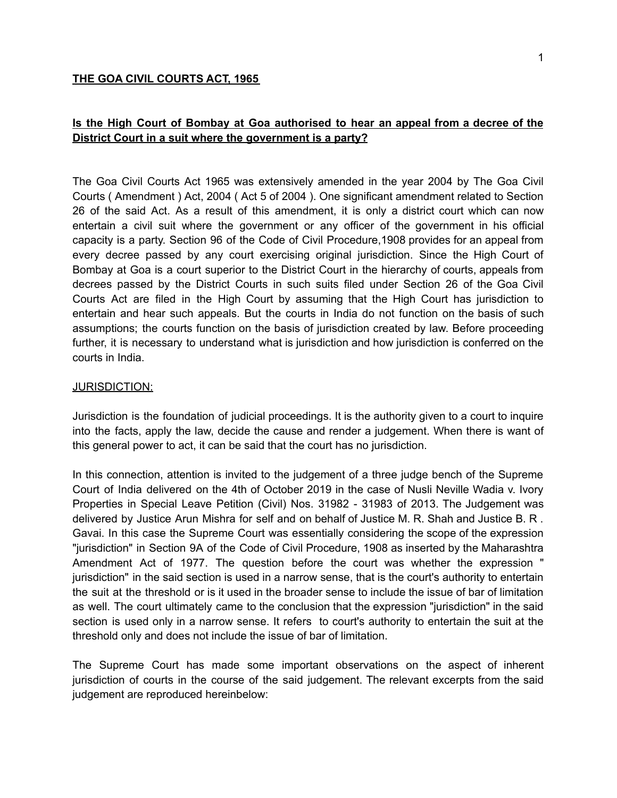#### **THE GOA CIVIL COURTS ACT, 1965**

# **Is the High Court of Bombay at Goa authorised to hear an appeal from a decree of the District Court in a suit where the government is a party?**

The Goa Civil Courts Act 1965 was extensively amended in the year 2004 by The Goa Civil Courts ( Amendment ) Act, 2004 ( Act 5 of 2004 ). One significant amendment related to Section 26 of the said Act. As a result of this amendment, it is only a district court which can now entertain a civil suit where the government or any officer of the government in his official capacity is a party. Section 96 of the Code of Civil Procedure,1908 provides for an appeal from every decree passed by any court exercising original jurisdiction. Since the High Court of Bombay at Goa is a court superior to the District Court in the hierarchy of courts, appeals from decrees passed by the District Courts in such suits filed under Section 26 of the Goa Civil Courts Act are filed in the High Court by assuming that the High Court has jurisdiction to entertain and hear such appeals. But the courts in India do not function on the basis of such assumptions; the courts function on the basis of jurisdiction created by law. Before proceeding further, it is necessary to understand what is jurisdiction and how jurisdiction is conferred on the courts in India.

#### JURISDICTION:

Jurisdiction is the foundation of judicial proceedings. It is the authority given to a court to inquire into the facts, apply the law, decide the cause and render a judgement. When there is want of this general power to act, it can be said that the court has no jurisdiction.

In this connection, attention is invited to the judgement of a three judge bench of the Supreme Court of India delivered on the 4th of October 2019 in the case of Nusli Neville Wadia v. Ivory Properties in Special Leave Petition (Civil) Nos. 31982 - 31983 of 2013. The Judgement was delivered by Justice Arun Mishra for self and on behalf of Justice M. R. Shah and Justice B. R . Gavai. In this case the Supreme Court was essentially considering the scope of the expression "jurisdiction" in Section 9A of the Code of Civil Procedure, 1908 as inserted by the Maharashtra Amendment Act of 1977. The question before the court was whether the expression " jurisdiction" in the said section is used in a narrow sense, that is the court's authority to entertain the suit at the threshold or is it used in the broader sense to include the issue of bar of limitation as well. The court ultimately came to the conclusion that the expression "jurisdiction" in the said section is used only in a narrow sense. It refers to court's authority to entertain the suit at the threshold only and does not include the issue of bar of limitation.

The Supreme Court has made some important observations on the aspect of inherent jurisdiction of courts in the course of the said judgement. The relevant excerpts from the said judgement are reproduced hereinbelow: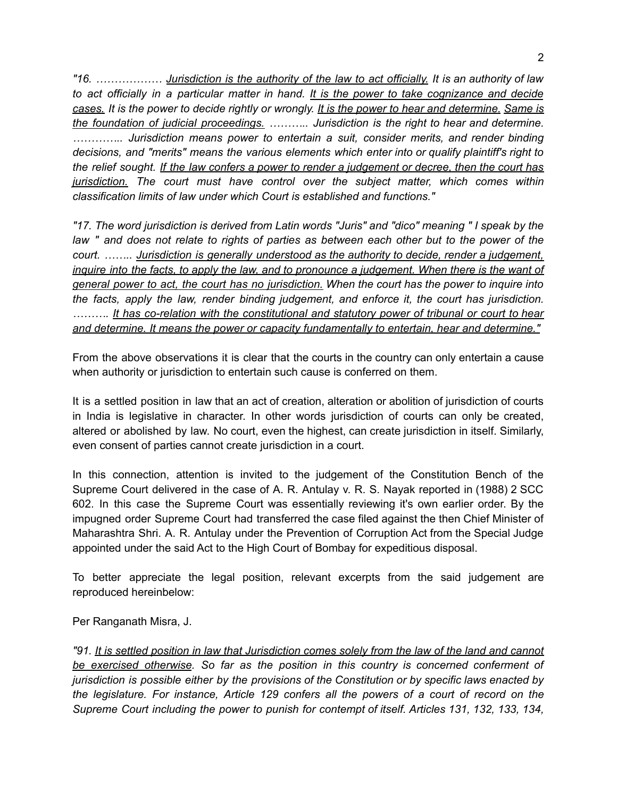*"16. ……………… Jurisdiction is the authority of the law to act officially. It is an authority of law to act officially in a particular matter in hand. It is the power to take cognizance and decide* cases. It is the power to decide rightly or wrongly. It is the power to hear and determine. Same is *the foundation of judicial proceedings. ……….. Jurisdiction is the right to hear and determine. ………….. Jurisdiction means power to entertain a suit, consider merits, and render binding decisions, and "merits" means the various elements which enter into or qualify plaintiff's right to* the relief sought. If the law confers a power to render a judgement or decree, then the court has *jurisdiction. The court must have control over the subject matter, which comes within classification limits of law under which Court is established and functions."*

*"17. The word jurisdiction is derived from Latin words "Juris" and "dico" meaning " I speak by the* law " and does not relate to rights of parties as between each other but to the power of the *court. …….. Jurisdiction is generally understood as the authority to decide, render a judgement,* inguire into the facts, to apply the law, and to pronounce a judgement. When there is the want of *general power to act, the court has no jurisdiction. When the court has the power to inquire into the facts, apply the law, render binding judgement, and enforce it, the court has jurisdiction. ………. It has co-relation with the constitutional and statutory power of tribunal or court to hear and determine. It means the power or capacity fundamentally to entertain, hear and determine."*

From the above observations it is clear that the courts in the country can only entertain a cause when authority or jurisdiction to entertain such cause is conferred on them.

It is a settled position in law that an act of creation, alteration or abolition of jurisdiction of courts in India is legislative in character. In other words jurisdiction of courts can only be created, altered or abolished by law. No court, even the highest, can create jurisdiction in itself. Similarly, even consent of parties cannot create jurisdiction in a court.

In this connection, attention is invited to the judgement of the Constitution Bench of the Supreme Court delivered in the case of A. R. Antulay v. R. S. Nayak reported in (1988) 2 SCC 602. In this case the Supreme Court was essentially reviewing it's own earlier order. By the impugned order Supreme Court had transferred the case filed against the then Chief Minister of Maharashtra Shri. A. R. Antulay under the Prevention of Corruption Act from the Special Judge appointed under the said Act to the High Court of Bombay for expeditious disposal.

To better appreciate the legal position, relevant excerpts from the said judgement are reproduced hereinbelow:

Per Ranganath Misra, J.

"91. It is settled position in law that Jurisdiction comes solely from the law of the land and cannot *be exercised otherwise. So far as the position in this country is concerned conferment of jurisdiction is possible either by the provisions of the Constitution or by specific laws enacted by the legislature. For instance, Article 129 confers all the powers of a court of record on the Supreme Court including the power to punish for contempt of itself. Articles 131, 132, 133, 134,*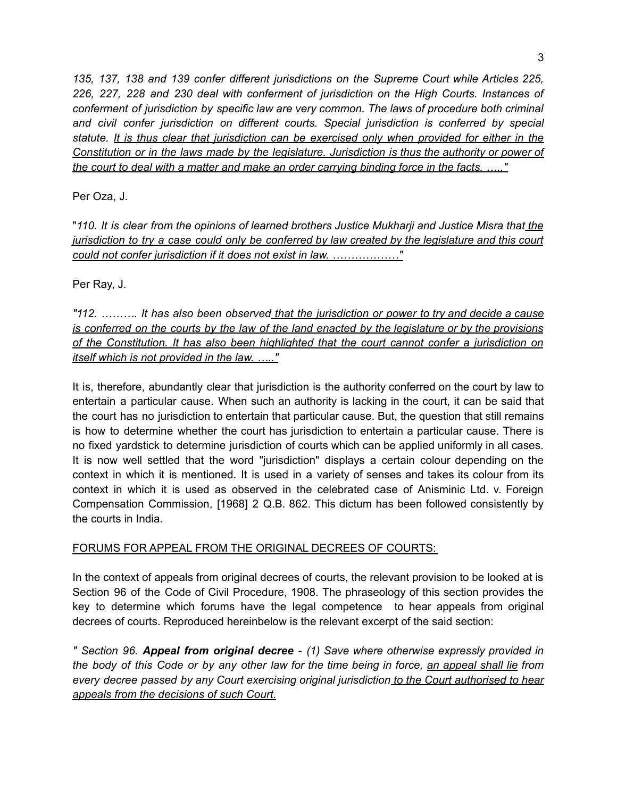*135, 137, 138 and 139 confer different jurisdictions on the Supreme Court while Articles 225, 226, 227, 228 and 230 deal with conferment of jurisdiction on the High Courts. Instances of conferment of jurisdiction by specific law are very common. The laws of procedure both criminal and civil confer jurisdiction on different courts. Special jurisdiction is conferred by special statute. It is thus clear that jurisdiction can be exercised only when provided for either in the Constitution or in the laws made by the legislature. Jurisdiction is thus the authority or power of the court to deal with a matter and make an order carrying binding force in the facts. ….."*

Per Oza, J.

"*110. It is clear from the opinions of learned brothers Justice Mukharji and Justice Misra that the* jurisdiction to try a case could only be conferred by law created by the legislature and this court *could not confer jurisdiction if it does not exist in law. ………………"*

Per Ray, J.

*"112. ………. It has also been observed that the jurisdiction or power to try and decide a cause* is conferred on the courts by the law of the land enacted by the legislature or by the provisions *of the Constitution. It has also been highlighted that the court cannot confer a jurisdiction on itself which is not provided in the law. ….."*

It is, therefore, abundantly clear that jurisdiction is the authority conferred on the court by law to entertain a particular cause. When such an authority is lacking in the court, it can be said that the court has no jurisdiction to entertain that particular cause. But, the question that still remains is how to determine whether the court has jurisdiction to entertain a particular cause. There is no fixed yardstick to determine jurisdiction of courts which can be applied uniformly in all cases. It is now well settled that the word "jurisdiction" displays a certain colour depending on the context in which it is mentioned. It is used in a variety of senses and takes its colour from its context in which it is used as observed in the celebrated case of Anisminic Ltd. v. Foreign Compensation Commission, [1968] 2 Q.B. 862. This dictum has been followed consistently by the courts in India.

## FORUMS FOR APPEAL FROM THE ORIGINAL DECREES OF COURTS:

In the context of appeals from original decrees of courts, the relevant provision to be looked at is Section 96 of the Code of Civil Procedure, 1908. The phraseology of this section provides the key to determine which forums have the legal competence to hear appeals from original decrees of courts. Reproduced hereinbelow is the relevant excerpt of the said section:

*" Section 96. Appeal from original decree - (1) Save where otherwise expressly provided in* the body of this Code or by any other law for the time being in force, an appeal shall lie from *every decree passed by any Court exercising original jurisdiction to the Court authorised to hear appeals from the decisions of such Court.*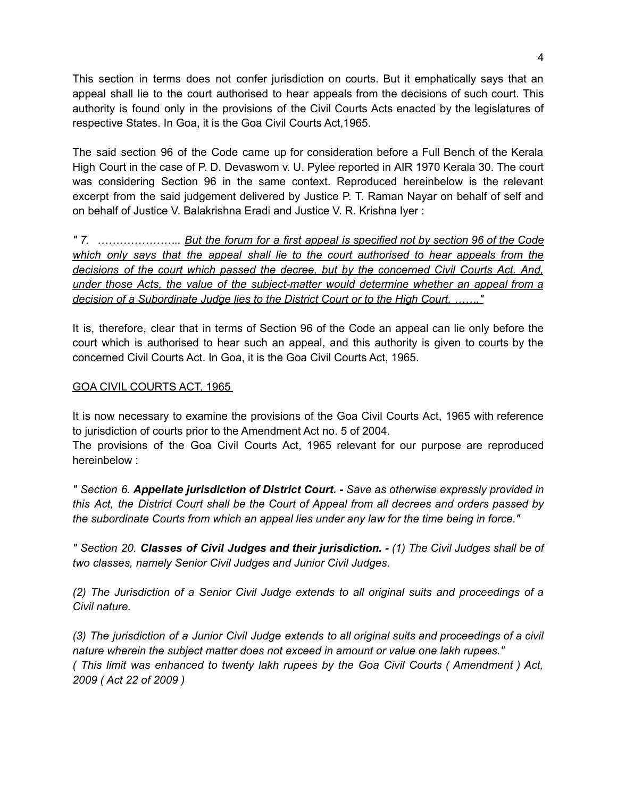This section in terms does not confer jurisdiction on courts. But it emphatically says that an appeal shall lie to the court authorised to hear appeals from the decisions of such court. This authority is found only in the provisions of the Civil Courts Acts enacted by the legislatures of respective States. In Goa, it is the Goa Civil Courts Act,1965.

The said section 96 of the Code came up for consideration before a Full Bench of the Kerala High Court in the case of P. D. Devaswom v. U. Pylee reported in AIR 1970 Kerala 30. The court was considering Section 96 in the same context. Reproduced hereinbelow is the relevant excerpt from the said judgement delivered by Justice P. T. Raman Nayar on behalf of self and on behalf of Justice V. Balakrishna Eradi and Justice V. R. Krishna Iyer :

*" 7. ………………….. But the forum for a first appeal is specified not by section 96 of the Code which only says that the appeal shall lie to the court authorised to hear appeals from the decisions of the court which passed the decree, but by the concerned Civil Courts Act. And, under those Acts, the value of the subject-matter would determine whether an appeal from a decision of a Subordinate Judge lies to the District Court or to the High Court. ……."*

It is, therefore, clear that in terms of Section 96 of the Code an appeal can lie only before the court which is authorised to hear such an appeal, and this authority is given to courts by the concerned Civil Courts Act. In Goa, it is the Goa Civil Courts Act, 1965.

### GOA CIVIL COURTS ACT, 1965

It is now necessary to examine the provisions of the Goa Civil Courts Act, 1965 with reference to jurisdiction of courts prior to the Amendment Act no. 5 of 2004.

The provisions of the Goa Civil Courts Act, 1965 relevant for our purpose are reproduced hereinbelow :

*" Section 6. Appellate jurisdiction of District Court. - Save as otherwise expressly provided in this Act, the District Court shall be the Court of Appeal from all decrees and orders passed by the subordinate Courts from which an appeal lies under any law for the time being in force."*

*" Section 20. Classes of Civil Judges and their jurisdiction. - (1) The Civil Judges shall be of two classes, namely Senior Civil Judges and Junior Civil Judges.*

*(2) The Jurisdiction of a Senior Civil Judge extends to all original suits and proceedings of a Civil nature.*

(3) The jurisdiction of a Junior Civil Judge extends to all original suits and proceedings of a civil *nature wherein the subject matter does not exceed in amount or value one lakh rupees." ( This limit was enhanced to twenty lakh rupees by the Goa Civil Courts ( Amendment ) Act, 2009 ( Act 22 of 2009 )*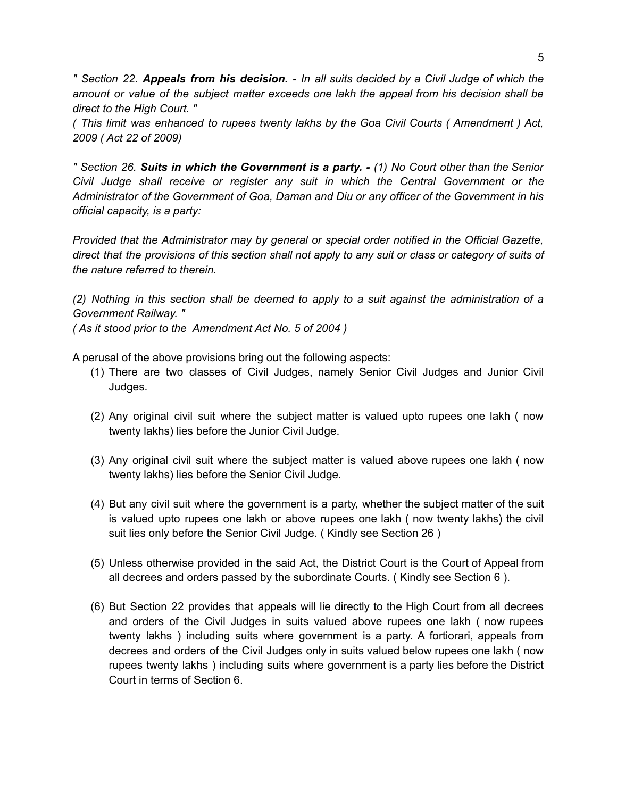" Section 22. Appeals from his decision. - In all suits decided by a Civil Judge of which the *amount or value of the subject matter exceeds one lakh the appeal from his decision shall be direct to the High Court. "*

*( This limit was enhanced to rupees twenty lakhs by the Goa Civil Courts ( Amendment ) Act, 2009 ( Act 22 of 2009)*

" Section 26. Suits in which the Government is a party. - (1) No Court other than the Senior *Civil Judge shall receive or register any suit in which the Central Government or the Administrator of the Government of Goa, Daman and Diu or any officer of the Government in his official capacity, is a party:*

*Provided that the Administrator may by general or special order notified in the Official Gazette,* direct that the provisions of this section shall not apply to any suit or class or category of suits of *the nature referred to therein.*

*(2) Nothing in this section shall be deemed to apply to a suit against the administration of a Government Railway. "*

*( As it stood prior to the Amendment Act No. 5 of 2004 )*

A perusal of the above provisions bring out the following aspects:

- (1) There are two classes of Civil Judges, namely Senior Civil Judges and Junior Civil Judges.
- (2) Any original civil suit where the subject matter is valued upto rupees one lakh ( now twenty lakhs) lies before the Junior Civil Judge.
- (3) Any original civil suit where the subject matter is valued above rupees one lakh ( now twenty lakhs) lies before the Senior Civil Judge.
- (4) But any civil suit where the government is a party, whether the subject matter of the suit is valued upto rupees one lakh or above rupees one lakh ( now twenty lakhs) the civil suit lies only before the Senior Civil Judge. ( Kindly see Section 26 )
- (5) Unless otherwise provided in the said Act, the District Court is the Court of Appeal from all decrees and orders passed by the subordinate Courts. ( Kindly see Section 6 ).
- (6) But Section 22 provides that appeals will lie directly to the High Court from all decrees and orders of the Civil Judges in suits valued above rupees one lakh ( now rupees twenty lakhs ) including suits where government is a party. A fortiorari, appeals from decrees and orders of the Civil Judges only in suits valued below rupees one lakh ( now rupees twenty lakhs ) including suits where government is a party lies before the District Court in terms of Section 6.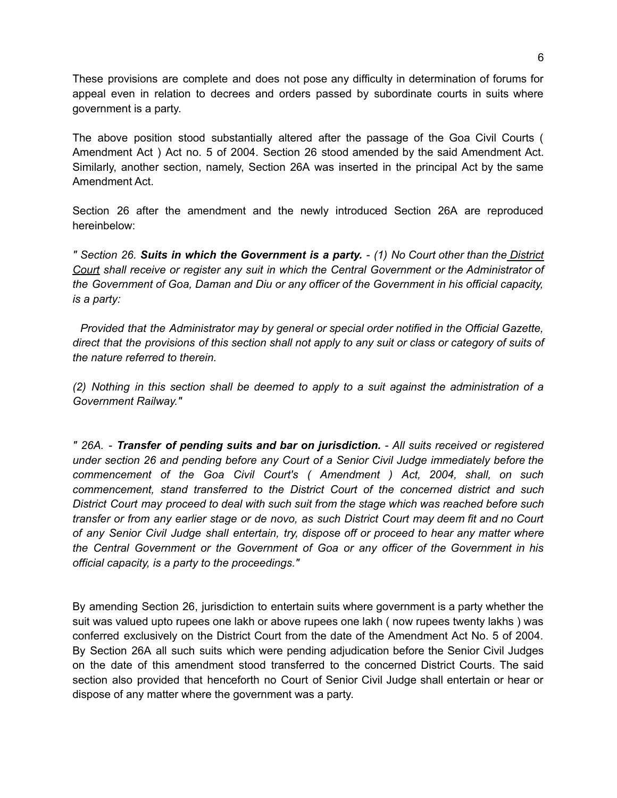These provisions are complete and does not pose any difficulty in determination of forums for appeal even in relation to decrees and orders passed by subordinate courts in suits where government is a party.

The above position stood substantially altered after the passage of the Goa Civil Courts ( Amendment Act ) Act no. 5 of 2004. Section 26 stood amended by the said Amendment Act. Similarly, another section, namely, Section 26A was inserted in the principal Act by the same Amendment Act.

Section 26 after the amendment and the newly introduced Section 26A are reproduced hereinbelow:

" Section 26. Suits in which the Government is a party. - (1) No Court other than the District *Court shall receive or register any suit in which the Central Government or the Administrator of the Government of Goa, Daman and Diu or any officer of the Government in his official capacity, is a party:*

*Provided that the Administrator may by general or special order notified in the Official Gazette,* direct that the provisions of this section shall not apply to any suit or class or category of suits of *the nature referred to therein.*

*(2) Nothing in this section shall be deemed to apply to a suit against the administration of a Government Railway."*

*" 26A. - Transfer of pending suits and bar on jurisdiction. - All suits received or registered under section 26 and pending before any Court of a Senior Civil Judge immediately before the commencement of the Goa Civil Court's ( Amendment ) Act, 2004, shall, on such commencement, stand transferred to the District Court of the concerned district and such District Court may proceed to deal with such suit from the stage which was reached before such* transfer or from any earlier stage or de novo, as such District Court may deem fit and no Court *of any Senior Civil Judge shall entertain, try, dispose off or proceed to hear any matter where the Central Government or the Government of Goa or any officer of the Government in his official capacity, is a party to the proceedings."*

By amending Section 26, jurisdiction to entertain suits where government is a party whether the suit was valued upto rupees one lakh or above rupees one lakh ( now rupees twenty lakhs ) was conferred exclusively on the District Court from the date of the Amendment Act No. 5 of 2004. By Section 26A all such suits which were pending adjudication before the Senior Civil Judges on the date of this amendment stood transferred to the concerned District Courts. The said section also provided that henceforth no Court of Senior Civil Judge shall entertain or hear or dispose of any matter where the government was a party.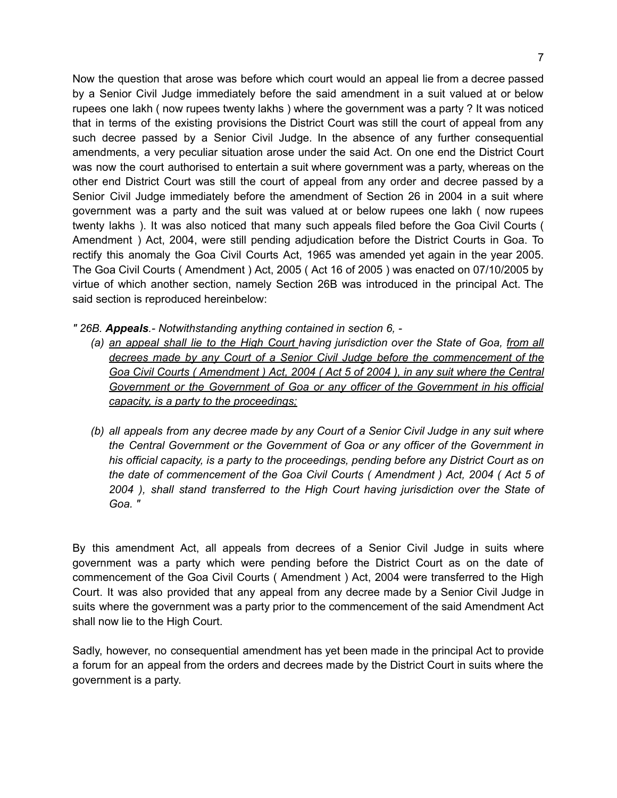Now the question that arose was before which court would an appeal lie from a decree passed by a Senior Civil Judge immediately before the said amendment in a suit valued at or below rupees one lakh ( now rupees twenty lakhs ) where the government was a party ? It was noticed that in terms of the existing provisions the District Court was still the court of appeal from any such decree passed by a Senior Civil Judge. In the absence of any further consequential amendments, a very peculiar situation arose under the said Act. On one end the District Court was now the court authorised to entertain a suit where government was a party, whereas on the other end District Court was still the court of appeal from any order and decree passed by a Senior Civil Judge immediately before the amendment of Section 26 in 2004 in a suit where government was a party and the suit was valued at or below rupees one lakh ( now rupees twenty lakhs ). It was also noticed that many such appeals filed before the Goa Civil Courts ( Amendment ) Act, 2004, were still pending adjudication before the District Courts in Goa. To rectify this anomaly the Goa Civil Courts Act, 1965 was amended yet again in the year 2005. The Goa Civil Courts ( Amendment ) Act, 2005 ( Act 16 of 2005 ) was enacted on 07/10/2005 by virtue of which another section, namely Section 26B was introduced in the principal Act. The said section is reproduced hereinbelow:

*" 26B. Appeals.- Notwithstanding anything contained in section 6, -*

- *(a) an appeal shall lie to the High Court having jurisdiction over the State of Goa, from all decrees made by any Court of a Senior Civil Judge before the commencement of the* Goa Civil Courts (Amendment) Act, 2004 (Act 5 of 2004), in any suit where the Central *Government or the Government of Goa or any officer of the Government in his official capacity, is a party to the proceedings;*
- *(b) all appeals from any decree made by any Court of a Senior Civil Judge in any suit where the Central Government or the Government of Goa or any officer of the Government in his official capacity, is a party to the proceedings, pending before any District Court as on the date of commencement of the Goa Civil Courts ( Amendment ) Act, 2004 ( Act 5 of 2004 ), shall stand transferred to the High Court having jurisdiction over the State of Goa. "*

By this amendment Act, all appeals from decrees of a Senior Civil Judge in suits where government was a party which were pending before the District Court as on the date of commencement of the Goa Civil Courts ( Amendment ) Act, 2004 were transferred to the High Court. It was also provided that any appeal from any decree made by a Senior Civil Judge in suits where the government was a party prior to the commencement of the said Amendment Act shall now lie to the High Court.

Sadly, however, no consequential amendment has yet been made in the principal Act to provide a forum for an appeal from the orders and decrees made by the District Court in suits where the government is a party.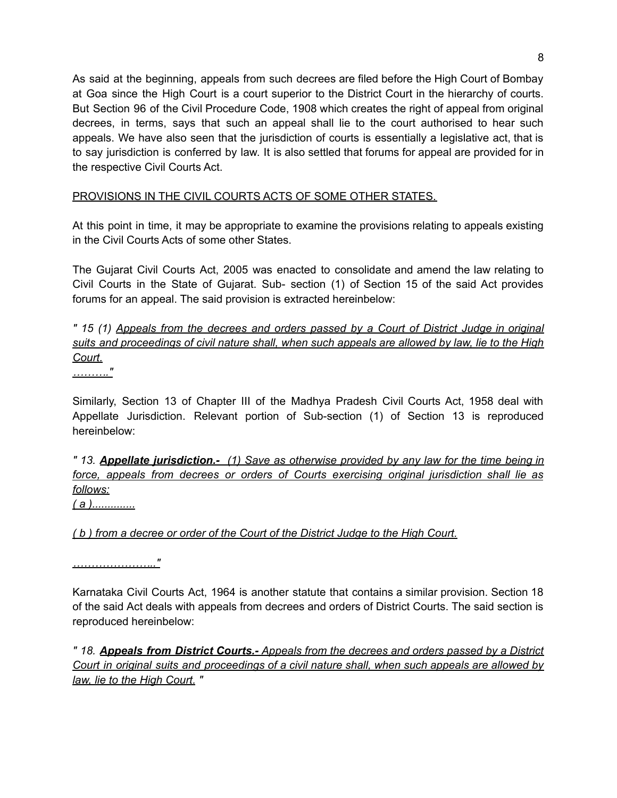As said at the beginning, appeals from such decrees are filed before the High Court of Bombay at Goa since the High Court is a court superior to the District Court in the hierarchy of courts. But Section 96 of the Civil Procedure Code, 1908 which creates the right of appeal from original decrees, in terms, says that such an appeal shall lie to the court authorised to hear such appeals. We have also seen that the jurisdiction of courts is essentially a legislative act, that is to say jurisdiction is conferred by law. It is also settled that forums for appeal are provided for in the respective Civil Courts Act.

# PROVISIONS IN THE CIVIL COURTS ACTS OF SOME OTHER STATES.

At this point in time, it may be appropriate to examine the provisions relating to appeals existing in the Civil Courts Acts of some other States.

The Gujarat Civil Courts Act, 2005 was enacted to consolidate and amend the law relating to Civil Courts in the State of Gujarat. Sub- section (1) of Section 15 of the said Act provides forums for an appeal. The said provision is extracted hereinbelow:

*" 15 (1) Appeals from the decrees and orders passed by a Court of District Judge in original suits and proceedings of civil nature shall, when such appeals are allowed by law, lie to the High Court.*

*………."*

Similarly, Section 13 of Chapter III of the Madhya Pradesh Civil Courts Act, 1958 deal with Appellate Jurisdiction. Relevant portion of Sub-section (1) of Section 13 is reproduced hereinbelow:

*" 13. Appellate jurisdiction.- (1) Save as otherwise provided by any law for the time being in force, appeals from decrees or orders of Courts exercising original jurisdiction shall lie as follows:*

*( a )..............*

*( b ) from a decree or order of the Court of the District Judge to the High Court.*

*………………….."*

Karnataka Civil Courts Act, 1964 is another statute that contains a similar provision. Section 18 of the said Act deals with appeals from decrees and orders of District Courts. The said section is reproduced hereinbelow:

*" 18. Appeals from District Courts.- Appeals from the decrees and orders passed by a District Court in original suits and proceedings of a civil nature shall, when such appeals are allowed by law, lie to the High Court. "*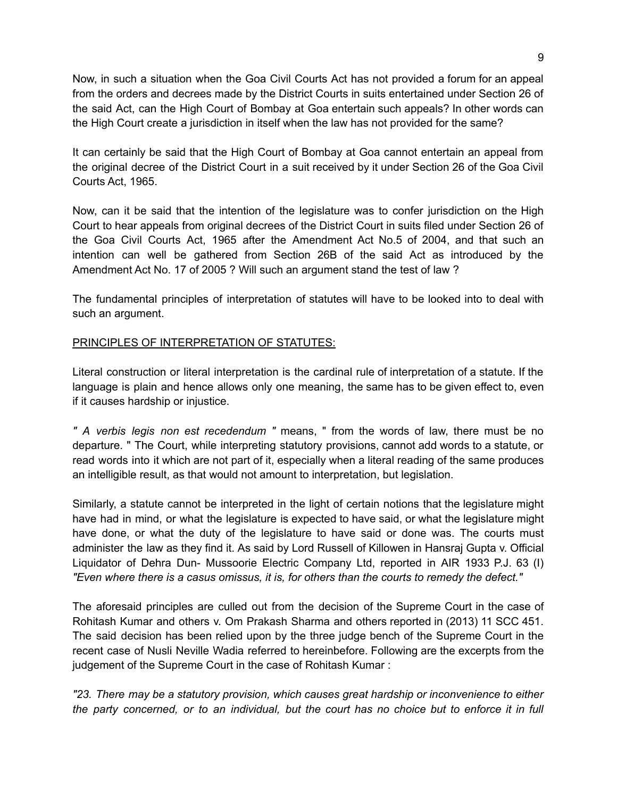Now, in such a situation when the Goa Civil Courts Act has not provided a forum for an appeal from the orders and decrees made by the District Courts in suits entertained under Section 26 of the said Act, can the High Court of Bombay at Goa entertain such appeals? In other words can the High Court create a jurisdiction in itself when the law has not provided for the same?

It can certainly be said that the High Court of Bombay at Goa cannot entertain an appeal from the original decree of the District Court in a suit received by it under Section 26 of the Goa Civil Courts Act, 1965.

Now, can it be said that the intention of the legislature was to confer jurisdiction on the High Court to hear appeals from original decrees of the District Court in suits filed under Section 26 of the Goa Civil Courts Act, 1965 after the Amendment Act No.5 of 2004, and that such an intention can well be gathered from Section 26B of the said Act as introduced by the Amendment Act No. 17 of 2005 ? Will such an argument stand the test of law ?

The fundamental principles of interpretation of statutes will have to be looked into to deal with such an argument.

### PRINCIPLES OF INTERPRETATION OF STATUTES:

Literal construction or literal interpretation is the cardinal rule of interpretation of a statute. If the language is plain and hence allows only one meaning, the same has to be given effect to, even if it causes hardship or injustice.

*" A verbis legis non est recedendum "* means, " from the words of law, there must be no departure. " The Court, while interpreting statutory provisions, cannot add words to a statute, or read words into it which are not part of it, especially when a literal reading of the same produces an intelligible result, as that would not amount to interpretation, but legislation.

Similarly, a statute cannot be interpreted in the light of certain notions that the legislature might have had in mind, or what the legislature is expected to have said, or what the legislature might have done, or what the duty of the legislature to have said or done was. The courts must administer the law as they find it. As said by Lord Russell of Killowen in Hansraj Gupta v. Official Liquidator of Dehra Dun- Mussoorie Electric Company Ltd, reported in AIR 1933 P.J. 63 (I) *"Even where there is a casus omissus, it is, for others than the courts to remedy the defect."*

The aforesaid principles are culled out from the decision of the Supreme Court in the case of Rohitash Kumar and others v. Om Prakash Sharma and others reported in (2013) 11 SCC 451. The said decision has been relied upon by the three judge bench of the Supreme Court in the recent case of Nusli Neville Wadia referred to hereinbefore. Following are the excerpts from the judgement of the Supreme Court in the case of Rohitash Kumar :

*"23. There may be a statutory provision, which causes great hardship or inconvenience to either* the party concerned, or to an individual, but the court has no choice but to enforce it in full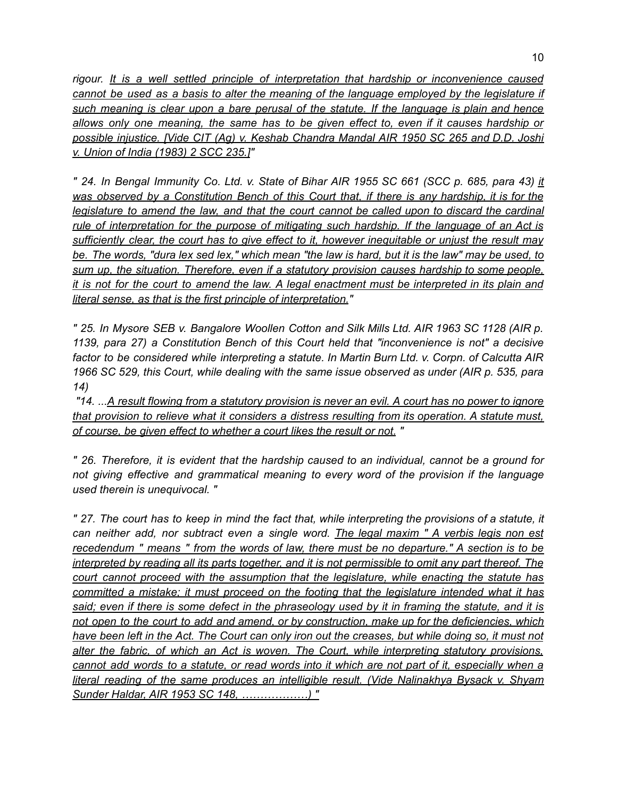*rigour. It is a well settled principle of interpretation that hardship or inconvenience caused cannot be used as a basis to alter the meaning of the language employed by the legislature if such meaning is clear upon a bare perusal of the statute. If the language is plain and hence allows only one meaning, the same has to be given effect to, even if it causes hardship or possible injustice. [Vide CIT (Ag) v. Keshab Chandra Mandal AIR 1950 SC 265 and D.D. Joshi v. Union of India (1983) 2 SCC 235.]"*

" 24. In Bengal Immunity Co. Ltd. v. State of Bihar AIR 1955 SC 661 (SCC p. 685, para 43) it was observed by a Constitution Bench of this Court that, if there is any hardship, it is for the *legislature to amend the law, and that the court cannot be called upon to discard the cardinal rule of interpretation for the purpose of mitigating such hardship. If the language of an Act is sufficiently clear, the court has to give effect to it, however inequitable or unjust the result may* be. The words, "dura lex sed lex," which mean "the law is hard, but it is the law" may be used, to *sum up, the situation. Therefore, even if a statutory provision causes hardship to some people,* it is not for the court to amend the law. A legal enactment must be interpreted in its plain and *literal sense, as that is the first principle of interpretation."*

" 25. In Mysore SEB v. Bangalore Woollen Cotton and Silk Mills Ltd. AIR 1963 SC 1128 (AIR p. *1139, para 27) a Constitution Bench of this Court held that "inconvenience is not" a decisive factor to be considered while interpreting a statute. In Martin Burn Ltd. v. Corpn. of Calcutta AIR 1966 SC 529, this Court, while dealing with the same issue observed as under (AIR p. 535, para 14)*

"14. ...A result flowing from a statutory provision is never an evil. A court has no power to ignore *that provision to relieve what it considers a distress resulting from its operation. A statute must, of course, be given effect to whether a court likes the result or not. "*

*" 26. Therefore, it is evident that the hardship caused to an individual, cannot be a ground for not giving effective and grammatical meaning to every word of the provision if the language used therein is unequivocal. "*

" 27. The court has to keep in mind the fact that, while interpreting the provisions of a statute, it *can neither add, nor subtract even a single word. The legal maxim " A verbis legis non est recedendum " means " from the words of law, there must be no departure." A section is to be* interpreted by reading all its parts together, and it is not permissible to omit any part thereof. The *court cannot proceed with the assumption that the legislature, while enacting the statute has committed a mistake; it must proceed on the footing that the legislature intended what it has* said; even if there is some defect in the phraseology used by it in framing the statute, and it is *not open to the court to add and amend, or by construction, make up for the deficiencies, which* have been left in the Act. The Court can only iron out the creases, but while doing so, it must not *alter the fabric, of which an Act is woven. The Court, while interpreting statutory provisions,* cannot add words to a statute, or read words into it which are not part of it, especially when a *literal reading of the same produces an intelligible result. (Vide Nalinakhya Bysack v. Shyam Sunder Haldar, AIR 1953 SC 148, ………………) "*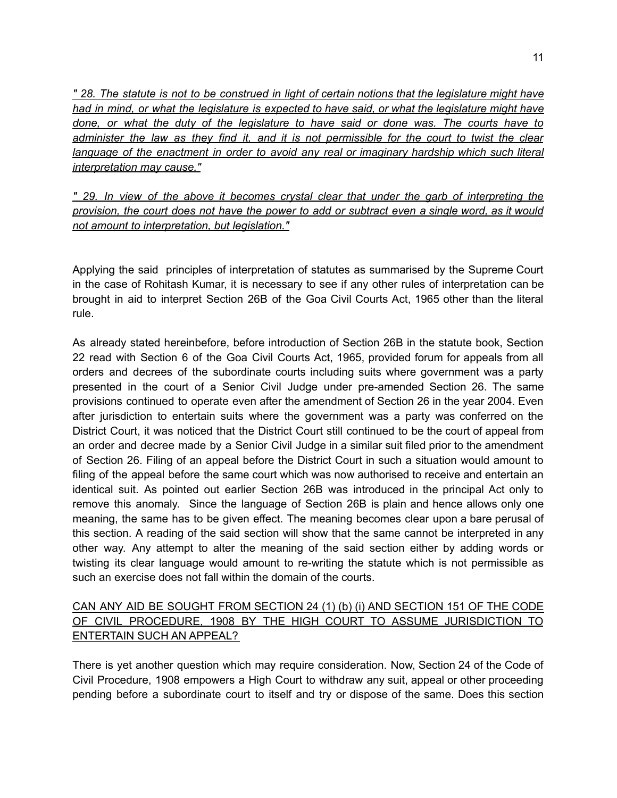" 28. The statute is not to be construed in light of certain notions that the legislature might have *had in mind, or what the legislature is expected to have said, or what the legislature might have done, or what the duty of the legislature to have said or done was. The courts have to* administer the law as they find it, and it is not permissible for the court to twist the clear *language of the enactment in order to avoid any real or imaginary hardship which such literal interpretation may cause."*

*" 29. In view of the above it becomes crystal clear that under the garb of interpreting the* provision, the court does not have the power to add or subtract even a single word, as it would *not amount to interpretation, but legislation."*

Applying the said principles of interpretation of statutes as summarised by the Supreme Court in the case of Rohitash Kumar, it is necessary to see if any other rules of interpretation can be brought in aid to interpret Section 26B of the Goa Civil Courts Act, 1965 other than the literal rule.

As already stated hereinbefore, before introduction of Section 26B in the statute book, Section 22 read with Section 6 of the Goa Civil Courts Act, 1965, provided forum for appeals from all orders and decrees of the subordinate courts including suits where government was a party presented in the court of a Senior Civil Judge under pre-amended Section 26. The same provisions continued to operate even after the amendment of Section 26 in the year 2004. Even after jurisdiction to entertain suits where the government was a party was conferred on the District Court, it was noticed that the District Court still continued to be the court of appeal from an order and decree made by a Senior Civil Judge in a similar suit filed prior to the amendment of Section 26. Filing of an appeal before the District Court in such a situation would amount to filing of the appeal before the same court which was now authorised to receive and entertain an identical suit. As pointed out earlier Section 26B was introduced in the principal Act only to remove this anomaly. Since the language of Section 26B is plain and hence allows only one meaning, the same has to be given effect. The meaning becomes clear upon a bare perusal of this section. A reading of the said section will show that the same cannot be interpreted in any other way. Any attempt to alter the meaning of the said section either by adding words or twisting its clear language would amount to re-writing the statute which is not permissible as such an exercise does not fall within the domain of the courts.

# CAN ANY AID BE SOUGHT FROM SECTION 24 (1) (b) (i) AND SECTION 151 OF THE CODE OF CIVIL PROCEDURE, 1908 BY THE HIGH COURT TO ASSUME JURISDICTION TO ENTERTAIN SUCH AN APPEAL?

There is yet another question which may require consideration. Now, Section 24 of the Code of Civil Procedure, 1908 empowers a High Court to withdraw any suit, appeal or other proceeding pending before a subordinate court to itself and try or dispose of the same. Does this section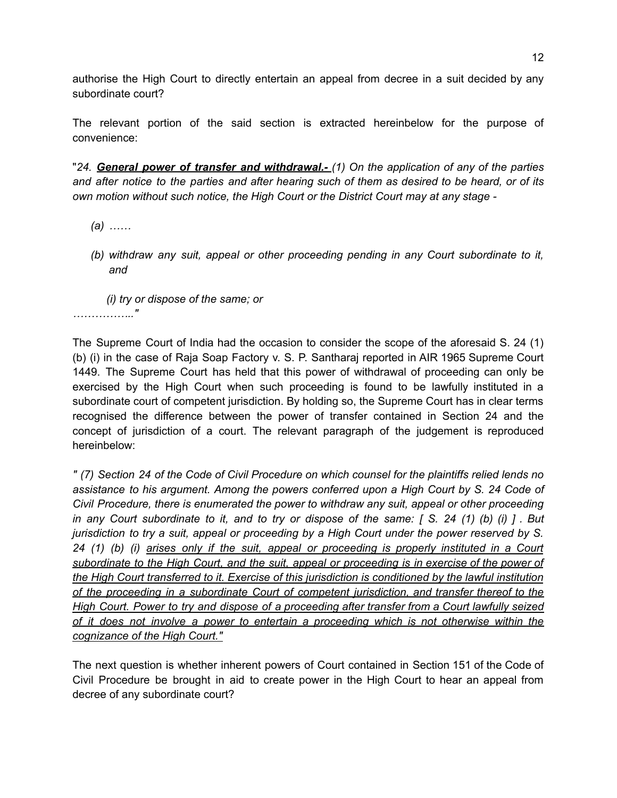authorise the High Court to directly entertain an appeal from decree in a suit decided by any subordinate court?

The relevant portion of the said section is extracted hereinbelow for the purpose of convenience:

"*24. General power of transfer and withdrawal.- (1) On the application of any of the parties* and after notice to the parties and after hearing such of them as desired to be heard, or of its *own motion without such notice, the High Court or the District Court may at any stage -*

- *(a) ……*
- *(b) withdraw any suit, appeal or other proceeding pending in any Court subordinate to it, and*

*(i) try or dispose of the same; or …………….."*

The Supreme Court of India had the occasion to consider the scope of the aforesaid S. 24 (1) (b) (i) in the case of Raja Soap Factory v. S. P. Santharaj reported in AIR 1965 Supreme Court 1449. The Supreme Court has held that this power of withdrawal of proceeding can only be exercised by the High Court when such proceeding is found to be lawfully instituted in a subordinate court of competent jurisdiction. By holding so, the Supreme Court has in clear terms recognised the difference between the power of transfer contained in Section 24 and the concept of jurisdiction of a court. The relevant paragraph of the judgement is reproduced hereinbelow:

" (7) Section 24 of the Code of Civil Procedure on which counsel for the plaintiffs relied lends no *assistance to his argument. Among the powers conferred upon a High Court by S. 24 Code of Civil Procedure, there is enumerated the power to withdraw any suit, appeal or other proceeding* in any Court subordinate to it, and to try or dispose of the same:  $\int S$ . 24 (1) (b) (i)  $\int$ . But *jurisdiction to try a suit, appeal or proceeding by a High Court under the power reserved by S. 24 (1) (b) (i) arises only if the suit, appeal or proceeding is properly instituted in a Court subordinate to the High Court, and the suit, appeal or proceeding is in exercise of the power of the High Court transferred to it. Exercise of this jurisdiction is conditioned by the lawful institution of the proceeding in a subordinate Court of competent jurisdiction, and transfer thereof to the High Court. Power to try and dispose of a proceeding after transfer from a Court lawfully seized of it does not involve a power to entertain a proceeding which is not otherwise within the cognizance of the High Court."*

The next question is whether inherent powers of Court contained in Section 151 of the Code of Civil Procedure be brought in aid to create power in the High Court to hear an appeal from decree of any subordinate court?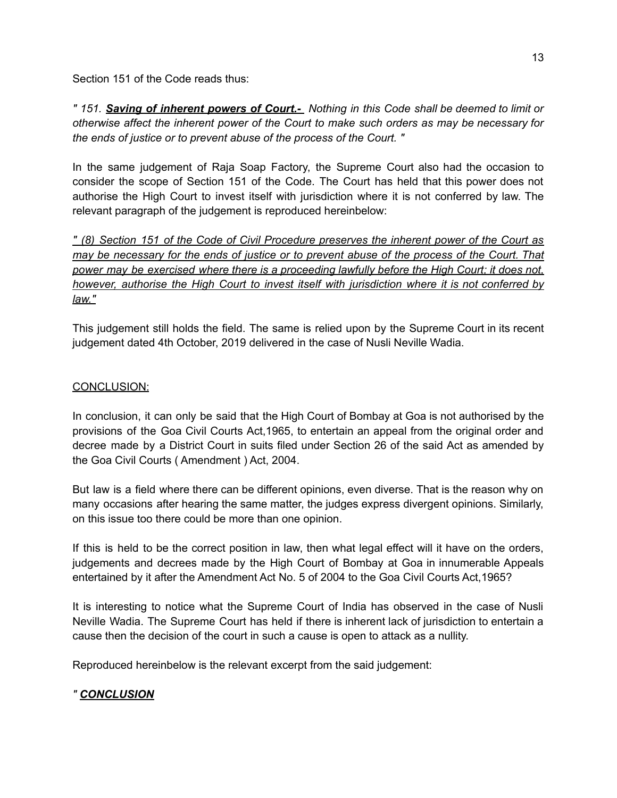Section 151 of the Code reads thus:

*" 151. Saving of inherent powers of Court.- Nothing in this Code shall be deemed to limit or otherwise affect the inherent power of the Court to make such orders as may be necessary for the ends of justice or to prevent abuse of the process of the Court. "*

In the same judgement of Raja Soap Factory, the Supreme Court also had the occasion to consider the scope of Section 151 of the Code. The Court has held that this power does not authorise the High Court to invest itself with jurisdiction where it is not conferred by law. The relevant paragraph of the judgement is reproduced hereinbelow:

*" (8) Section 151 of the Code of Civil Procedure preserves the inherent power of the Court as* may be necessary for the ends of justice or to prevent abuse of the process of the Court. That *power may be exercised where there is a proceeding lawfully before the High Court; it does not, however, authorise the High Court to invest itself with jurisdiction where it is not conferred by law."*

This judgement still holds the field. The same is relied upon by the Supreme Court in its recent judgement dated 4th October, 2019 delivered in the case of Nusli Neville Wadia.

#### CONCLUSION:

In conclusion, it can only be said that the High Court of Bombay at Goa is not authorised by the provisions of the Goa Civil Courts Act,1965, to entertain an appeal from the original order and decree made by a District Court in suits filed under Section 26 of the said Act as amended by the Goa Civil Courts ( Amendment ) Act, 2004.

But law is a field where there can be different opinions, even diverse. That is the reason why on many occasions after hearing the same matter, the judges express divergent opinions. Similarly, on this issue too there could be more than one opinion.

If this is held to be the correct position in law, then what legal effect will it have on the orders, judgements and decrees made by the High Court of Bombay at Goa in innumerable Appeals entertained by it after the Amendment Act No. 5 of 2004 to the Goa Civil Courts Act,1965?

It is interesting to notice what the Supreme Court of India has observed in the case of Nusli Neville Wadia. The Supreme Court has held if there is inherent lack of jurisdiction to entertain a cause then the decision of the court in such a cause is open to attack as a nullity.

Reproduced hereinbelow is the relevant excerpt from the said judgement:

## *" CONCLUSION*